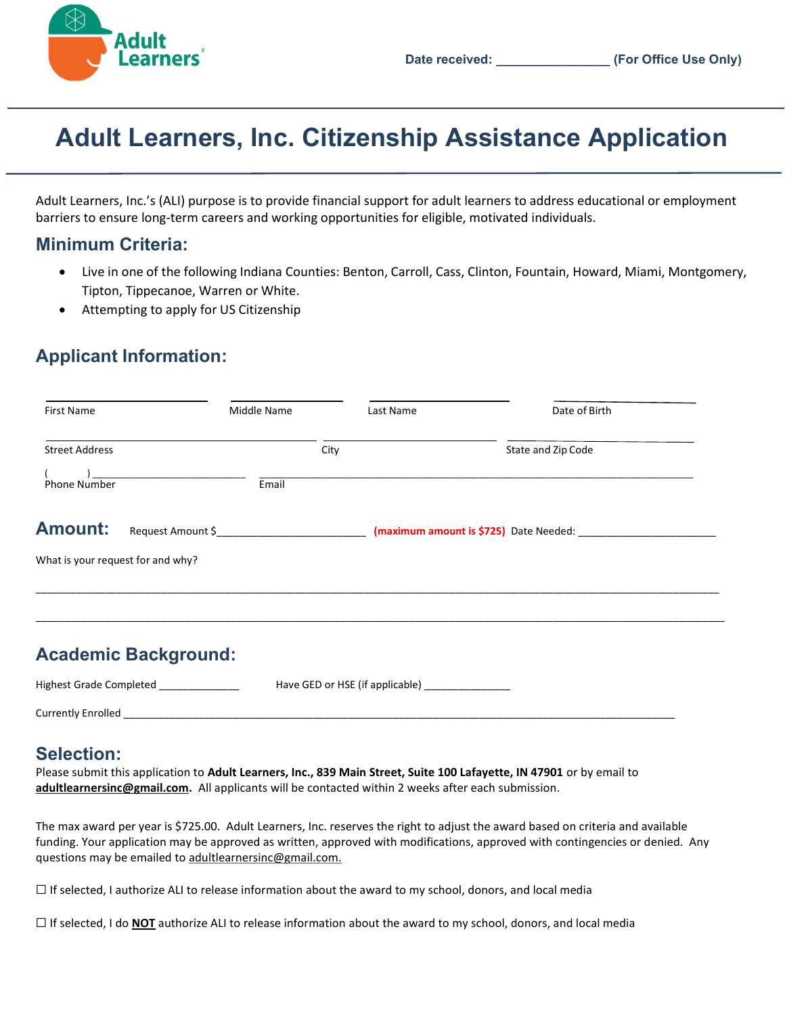

# Adult Learners, Inc. Citizenship Assistance Application

Adult Learners, Inc.'s (ALI) purpose is to provide financial support for adult learners to address educational or employment barriers to ensure long-term careers and working opportunities for eligible, motivated individuals.

### Minimum Criteria:

- Live in one of the following Indiana Counties: Benton, Carroll, Cass, Clinton, Fountain, Howard, Miami, Montgomery, Tipton, Tippecanoe, Warren or White.
- Attempting to apply for US Citizenship

## Applicant Information:

| First Name                        |                             | Middle Name |      | Last Name | Date of Birth                          |
|-----------------------------------|-----------------------------|-------------|------|-----------|----------------------------------------|
| <b>Street Address</b>             |                             |             | City |           | State and Zip Code                     |
| Phone Number                      |                             | Email       |      |           |                                        |
| <b>Amount:</b>                    | Request Amount \$           |             |      |           | (maximum amount is \$725) Date Needed: |
| What is your request for and why? |                             |             |      |           |                                        |
|                                   |                             |             |      |           |                                        |
|                                   | <b>Academic Background:</b> |             |      |           |                                        |

Highest Grade Completed **Have GED** or HSE (if applicable) Currently Enrolled \_\_\_\_\_\_\_\_\_\_\_\_\_\_\_\_\_\_\_\_\_\_\_\_\_\_\_\_\_\_\_\_\_\_\_\_\_\_\_\_\_\_\_\_\_\_\_\_\_\_\_\_\_\_\_\_\_\_\_\_\_\_\_\_\_\_\_\_\_\_\_\_\_\_\_\_\_\_\_\_\_\_\_\_\_\_\_\_\_\_\_\_\_\_\_\_

### Selection:

Please submit this application to Adult Learners, Inc., 839 Main Street, Suite 100 Lafayette, IN 47901 or by email to adultlearnersinc@gmail.com. All applicants will be contacted within 2 weeks after each submission.

The max award per year is \$725.00. Adult Learners, Inc. reserves the right to adjust the award based on criteria and available funding. Your application may be approved as written, approved with modifications, approved with contingencies or denied. Any questions may be emailed to adultlearnersinc@gmail.com.

 $\Box$  If selected, I authorize ALI to release information about the award to my school, donors, and local media

 $\Box$  If selected, I do **NOT** authorize ALI to release information about the award to my school, donors, and local media